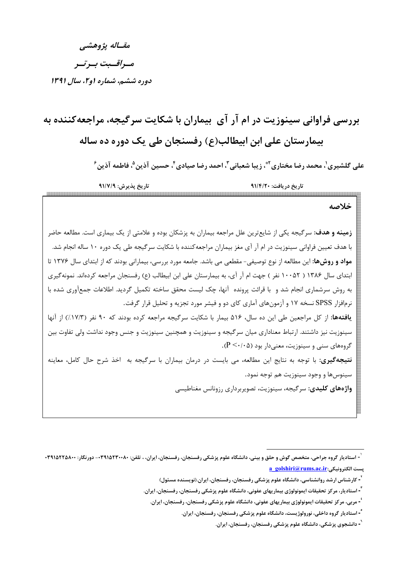مقساله يژوهشي مسراقسيت بسرتسر دوره ششم، شماره (و۲، سال ۱۳۹۱

# بررسی فراوانی سینوزیت در ام آر آی بیماران با شکایت سرگیجه، مراجعهکننده به بیمارستان علے ابن ابیطالب(ع) رفسنجان طے یک دورہ دہ ساله

على گلشيري'، محمد رضا مختاري ٌّ، زيبا شعباني <sup>٣</sup>، احمد رضا صيادي ٔ، حسين آذين <sup>۵</sup>، فاطمه آذين ٔ

تاريخ پذيرش: ٩١/٧/٩ تاريخ دريافت: ٩١/٤/٢٠ 12222232322323

### خلاصه

**زمینه و هدف:** سرگیجه یکی از شایع ترین علل مراجعه بیماران به پزشکان بوده و علامتی از یک بیماری است. مطالعه حاضر با هدف تعیین فراوانی سینوزیت در ام آر آی مغز بیماران مراجعه کننده با شکایت سرگیجه طی یک دوره ۱۰ ساله انجام شد. مواد و روشها: این مطالعه از نوع توصیفی- مقطعی می باشد. جامعه مورد بررسی، بیمارانی بودند که از ابتدای سال ۱۳۷۶ تا ابتدای سال ۱۳۸۶ ( ۱۰۰۵۲ نفر ) جهت ام آر آی، به بیمارستان علی ابن ابیطالب (ع) رفسنجان مراجعه کردهاند. نمونهگیری به روش سرشماری انجام شد و با قرائت پرونده آنها، چک لیست محقق ساخته تکمیل گردید. اطلاعات جمعآوری شده با نرمافزار SPSS نسخه ۱۷ و آزمونهای آماری کای دو و فیشر مورد تجزیه و تحلیل قرار گرفت. یافتهها: از کل مراجعین طی این ده سال، ۵۱۶ بیمار با شکایت سرگیجه مراجعه کرده بودند که ۹۰ نفر (۱۷/۳٪) از آنها سینوزیت نیز داشتند. ارتباط معناداری میان سرگیجه و سینوزیت و همچنین سینوزیت و جنس وجود نداشت ولی تفاوت بین  $\cdot$  گروههای سنی و سینوزیت، معنیدار بود (۰/۰۵). **نتیجهگیری:** با توجه به نتایج این مطالعه، می بایست در درمان بیماران با سرگیجه به اخذ شرح حال کامل، معاینه سينوس ها و وجود سينوزيت هم توجه نمود. واژەهای کلیدی: سرگیجه، سینوزیت، تصویربرداری رزونانس مغناطیسی

<sup>ٔ -</sup> استادیار گروه جراحی، متخصص گوش و حلق و بینی، دانشگاه علوم پزشکی رفسنجان، زفسنجان، ایران، ، تلفن: ۳۹۱۵۲۳۵۸۰۰- دورنگار: ۳۹۱۵۲۲۵۸۰۰a golshiri@rums.ac.ir: يست الكترونيكي

<sup>&</sup>lt;sup>"</sup>- کارشناس ارشد روانشناسی، دانشگاه علوم پزشکی رفسنجان، رفسنجان، ایران.(نویسنده مسئول)

<sup>&</sup>lt;sup>۳</sup>-استادیار، مرکز تحقیقات ایمونولوژی بیماریهای عفونی، دانشگاه علوم پزشکی رفسنجان، رفسنجان، ایران.

<sup>&#</sup>x27; - مربی، مرکز تحقیقات ایمونولوژی بیماریهای عفونی، دانشگاه علوم پزشکی رفسنجان، رفسنجان، ایران.

<sup>&</sup>lt;sup>-</sup>-استادیار گروه داخلی، نورولوژیست، دانشگاه علوم پزشکی رفسنجان، رفسنجان، ایران.

<sup>&</sup>lt;sup>-</sup>- دانشجوی پزشکی، دانشگاه علوم پزشکی رفسنجان، رفسنجان، ایران.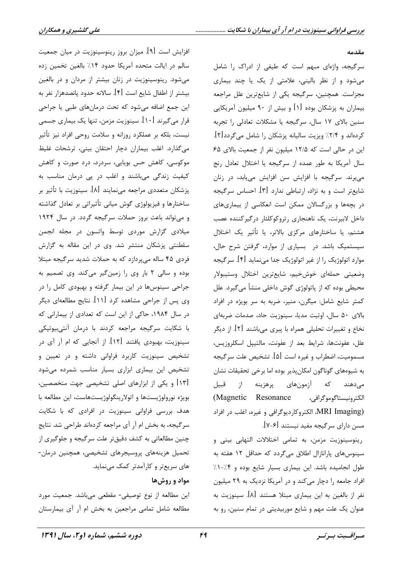#### مقدمه

سرگیجه، واژهای مبهم است که طیفی از ادراک را شامل میشود و از نظر بالینی، علامتی از یک یا چند بیماری مجزاست. همچنین، سرگیجه یکی از شایعترین علل مراجعه بیماران به پزشکان بوده [۱] و بیش از ۹۰ میلیون آمریکایی سنین بالای ۱۷ سال، سرگیجه یا مشکلات تعادلی را تجربه كردهاند و ٢/٤٪ ويزيت ساليانه پزشكان را شامل مىگردد[1]. این در حالی است که ۱۲/۵ میلیون نفر از جمعیت بالای ۶۵ سال آمریکا به طور عمده از سرگیجه یا اختلال تعادل رنج میبرند. سرگیجه با افزایش سن افزایش مییابد، در زنان شایعتر است و به نژاد، ارتباطی ندارد [۳]. احساس سرگیجه در بچهها و بزرگسالان ممکن است انعکاسی از بیماریهای داخل لابیرنت، یک ناهنجاری رتروکوکلئار درگیرکننده عصب هشتم، یا ساختارهای مرکزی بالاتر، یا تأثیر یک اختلال سیستمیک باشد. در بسیاری از موارد، گرفتن شرح حال، موارد اتولوژیک را از غیر اتولوژیک جدا مینماید [۴]. سرگیجه وضعيتي حملهاي خوش خيم، شايع ترين اختلال وستيبولار محیطی بوده که از پاتولوژی گوش داخلی منشأ میگیرد. علل كمتر شايع شامل: ميگرن، منير، ضربه به سر بويژه در افراد بالای ۵۰ سال، اوتیت مدیا، سینوزیت حاد، صدمات ضربهای نخاع و تغییرات تحلیلی همراه با پیری میباشند [۲]. از دیگر علل، عفونتها، شرايط بعد از عفونت، مالتيپل اسكلروزيس، مسمومیت، اضطراب و غیره است [۵]. تشخیص علت سرگیجه به شیوههای گوناگون امکان پذیر بوده اما برخی تحقیقات نشان میدهند که آزمونهای پرهزینه از قبیل الكترونيستاگوموگرافي، Magnetic Resonance) (MRI Imaging، الكتروكارديوگرافي و غيره، اغلب در افراد مسن دارای سرگیجه مفید نیستند [۶-۷].

رینوسینوزیت مزمن، به تمامی اختلالات التهابی بینی و سینوس های پارانازال اطلاق میگردد که حداقل ۱۲ هفته به طول انجامیده باشد. این بیماری بسیار شایع بوده و ۰/۴–۰/ افراد جامعه را دچار می کند و در آمریکا نزدیک به ۲۹ میلیون نفر از بالغین به این بیماری مبتلا هستند [۸]. سینوزیت به عنوان یک علت مهم و شایع موربیدیتی در تمام سنین، رو به

افزایش است [۹]. میزان بروز رینوسینوزیت در میان جمعیت سالم در ایالت متحده آمریکا حدود ۱۴٪ بالغین تخمین زده می شود. رینوسینوزیت در زنان بیشتر از مردان و در بالغین بيشتر از اطفال شايع است [۴]. سالانه حدود پانصدهزار نفر به این جمع اضافه میشود که تحت درمانهای طبی یا جراحی قرار میگیرند [۱۰]. سینوزیت مزمن، تنها یک بیماری جسمی نیست، بلکه بر عملکرد روزانه و سلامت روحی افراد نیز تأثیر میگذارد. اغلب بیماران دچار احتقان بینی، ترشحات غلیظ موکوسی، کاهش حس بویایی، سردرد، درد صورت و کاهش کیفیت زندگی میباشند و اغلب در پی درمان مناسب به پزشکان متعددی مراجعه مینمایند [۸]. سینوزیت با تأثیر بر ساختارها و فیزیولوژی گوش میانی تأثیراتی بر تعادل گذاشته و می تواند باعث بروز حملات سر گیجه گردد. در سال ۱۹۲۴ میلادی گزارش موردی توسط واتسون در مجله انجمن سلطنتی پزشکان منتشر شد. وی در این مقاله به گزارش فردی ۴۵ ساله میپردازد که به حملات شدید سرگیجه مبتلا بوده و سالي ٢ بار وي را زمين گير مي كند. وي تصميم به جراحی سینوسها در این بیمار گرفته و بهبودی کامل را در وی پس از جراحی مشاهده کرد [۱۱]. نتایج مطالعهای دیگر در سال ۱۹۸۴، حاکی از این است که تعدادی از بیمارانی که با شکایت سرگیجه مراجعه کردند با درمان آنتی بیوتیکی سینوزیت، بهبودی یافتند [۱۲]. از آنجایی که ام آر آی در تشخیص سینوزیت کاربرد فراوانی داشته و در تعیین و تشخیص این بیماری ابزاری بسیار مناسب شمرده میشود [۱۳] و یکی از ابزارهای اصلی تشخیصی جهت متخصصین، بویژه نورولوژیستها و اتولارینگولوژیستهاست، این مطالعه با هدف بررسی فراوانی سینوزیت در افرادی که با شکایت سرگیجه، به بخش ام آر آی مراجعه کردهاند طراحی شد. نتایج چنین مطالعاتی به کشف دقیقتر علت سرگیجه و جلوگیری از تحمیل هزینههای پروسیجرهای تشخیصی، همچنین درمان-های سریعتر و کارآمدتر کمک می نماید.

#### مواد و روشها

این مطالعه از نوع توصیفی- مقطعی میباشد. جمعیت مورد مطالعه شامل تمامی مراجعین به بخش ام آر آی بیمارستان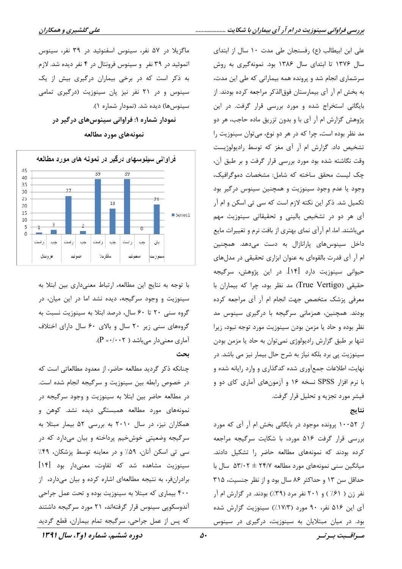علی ابن ابیطالب (ع) رفسنجان طی مدت ۱۰ سال از ابتدای سال ۱۳۷۶ تا ابتدای سال ۱۳۸۶ بود. نمونهگیری به روش سرشماری انجام شد و پرونده همه بیمارانی که طی این مدت، به بخش ام آر آی بیمارستان فوق|لذکر مراجعه کرده بودند. از بایگانی استخراج شده و مورد بررسی قرار گرفت. در این پژوهش گزارش ام آر آی با و بدون تزریق ماده حاجب، هر دو مد نظر بوده است، چرا که در هر دو نوع، می توان سینوزیت را تشخیص داد. گزارش ام آر آی مغز که توسط رادیولوژیست وقت نگاشته شده بود مورد بررسی قرار گرفت و بر طبق آن، چک لیست محقق ساخته که شامل: مشخصات دموگرافیک، وجود یا عدم وجود سینوزیت و همچنین سینوس درگیر بود تکمیل شد. ذکر این نکته لازم است که سی تی اسکن و ام آر آی هر دو در تشخیص بالینی و تحقیقاتی سینوزیت مهم میباشند. اما، ام آرآی نمای بهتری از بافت نرم و تغییرات مایع داخل سینوسهای پارانازال به دست میدهد. همچنین ام آر آی قدرت بالقوهای به عنوان ابزاری تحقیقی در مدلهای حیوانی سینوزیت دارد [۱۴]. در این پژوهش، سرگیجه حقیقی (True Vertigo) مد نظر بود، چرا که بیماران با معرفی پزشک متخصص جهت انجام ام آر آی مراجعه کرده بودند. همچنین، همزمانی سرگیجه با درگیری سینوس مد نظر بوده و حاد يا مزمن بودن سينوزيت مورد توجه نبود، زيرا تنها بر طبق گزارش رادیولوژی نمی توان به حاد یا مزمن بودن سینوزیت پی برد بلکه نیاز به شرح حال بیمار نیز می باشد. در نهایت، اطلاعات جمعآوری شده کدگذاری و وارد رایانه شده و با نرم افزار SPSS نسخه ۱۶ و آزمونهای آماری کای دو و فیشر مورد تجزیه و تحلیل قرار گرفت.

#### نتايج

از ۱۰۰۵۲ پرونده موجود در بایگانی بخش ام آر آی که مورد بررسی قرار گرفت ۵۱۶ مورد، با شکایت سرگیجه مراجعه کرده بودند که نمونههای مطالعه حاضر را تشکیل دادند. میانگین سنی نمونههای مورد مطالعه ۲۴/۷ ± ۵۳/۰۲ سال با حداقل سن ١٣ و حداكثر ٨۶ سال بود و از نظر جنسيت، ٣١۵ نفر زن ( ۶۱٪ ) و ۲۰۱ نفر مرد (۳۹٪) بودند. در گزارش ام آر آی این ۵۱۶ نفر، ۹۰ مورد (۱۷/۳٪) سینوزیت گزارش شده بود. در میان مبتلایان به سینوزیت، درگیری در سینوس

ماگزیلا در ۵۷ نفر، سینوس اسفنوئید در ۳۹ نفر، سینوس اتموئید در ۳۹ نفر و سینوس فرونتال در ۴ نفر دیده شد. لازم به ذکر است که در برخی بیماران درگیری بیش از یک سینوس و در ۲۱ نفر نیز پان سینوزیت (درگیری تمامی سینوس۱ه) دیده شد. (نمودار شماره ۱).

نمودار شماره ۱: فراوانی سینوس های درگیر در نمونههای مورد مطالعه



با توجه به نتایج این مطالعه، ارتباط معنی داری بین ابتلا به سینوزیت و وجود سرگیجه، دیده نشد اما در این میان، در گروه سنی ۲۰ تا ۶۰ سال، درصد ابتلا به سینوزیت نسبت به گروههای سنی زیر ۲۰ سال و بالای ۶۰ سال دارای اختلاف آماری معنی دار می باشد (  $P = \cdot / \cdot \cdot$ ).

#### بحث

چنانکه ذکر گردید مطالعه حاضر، از معدود مطالعاتی است که در خصوص رابطه بین سینوزیت و سرگیجه انجام شده است. در مطالعه حاضر بین ابتلا به سینوزیت و وجود سرگیجه در نمونههای مورد مطالعه همبستگی دیده نشد. کوهن و همکاران نیز، در سال ۲۰۱۰ به بررسی ۵۲ بیمار مبتلا به سرگیجه وضعیتی خوشخیم پرداخته و بیان میدارد که در سي تي اسكن آنان، ۵۹٪ و در معاينه توسط پزشكان، ۴۹٪ سینوزیت مشاهده شد که تفاوت، معنیدار بود [۱۴] برادرانفر، به نتیجه مطالعهای اشاره کرده و بیان میدارد، از ۴۰۰ بیماری که مبتلا به سینوزیت بوده و تحت عمل جراحی آندوسکویی سینوس قرار گرفتهاند، ۲۱ مورد سرگیجه داشتند كه پس از عمل جراحي، سرگيجه تمام بيماران، قطع گرديد

دوره ششم، شماره او ۲، سال ۱۳۹۱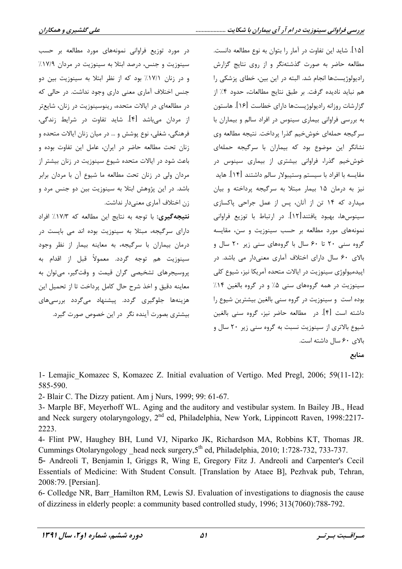در مورد توزیع فراوانی نمونههای مورد مطالعه بر حسب [۱۵]. شاید این تفاوت در آمار را بتوان به نوع مطالعه دانست. مطالعه حاضر به صورت گذشتهنگر و از روی نتایج گزارش سینوزیت و جنس، درصد ابتلا به سینوزیت در مردان ۱۷/۹٪ و در زنان ۱۷/۱٪ بود که از نظر ابتلا به سینوزیت بین دو رادیولوژیستها انجام شد. البته در این بین، خطای پزشکی را جنس اختلاف آماری معنی داری وجود نداشت. در حالی که هم نبايد ناديده گرفت. بر طبق نتايج مطالعات، حدود ۴٪ از در مطالعهای در ایالات متحده، رینوسینوزیت در زنان، شایعتر گزارشات روزانه رادیولوژیستها دارای خطاست [۱۶]. هاستون از مردان میباشد [۴]. شاید تفاوت در شرایط زندگی، به بررسی فراوانی بیماری سینوس در افراد سالم و بیماران با فرهنگے، شغلی، نوع پوشش و … در میان زنان ایالات متحده و سرگیجه حملهای خوشخیم گذرا پرداخت. نتیجه مطالعه وی زنان تحت مطالعه حاضر در ایران، عامل این تفاوت بوده و نشانگر این موضوع بود که بیماران با سرگیجه حملهای باعث شود در ایالات متحده شیوع سینوزیت در زنان بیشتر از خوش خیم گذرا، فراوانی بیشتری از بیماری سینوس در مقايسه با افراد با سيستم وستيبولار سالم داشتند [١۴]. هايد مردان ولی در زنان تحت مطالعه ما شیوع آن با مردان برابر باشد. در این پژوهش ابتلا به سینوزیت بین دو جنس مرد و نيز به درمان ۱۵ بيمار مبتلا به سرگيجه پرداخته و بيان زن اختلاف آماري معنىدار نداشت. میدارد که ۱۴ تن از آنان، پس از عمل جراحی پاکسازی سینوسها، بهبود یافتند[۱۲]. در ارتباط با توزیع فراوانی نتيجه گيري: با توجه به نتايج اين مطالعه كه ١٧/٣٪ افراد نمونههای مورد مطالعه بر حسب سینوزیت و سن، مقایسه دارای سرگیجه، مبتلا به سینوزیت بوده اند می بایست در گروه سنی ۲۰ تا ۶۰ سال با گروههای سنی زیر ۲۰ سال و درمان بیماران با سرگیجه، به معاینه بیمار از نظر وجود سينوزيت هم توجه گردد. معمولاً قبل از اقدام به بالای ۶۰ سال دارای اختلاف آماری معنیدار می باشد. در اپیدمیولوژی سینوزیت در ایالات متحده آمریکا نیز، شیوع کلی پروسیجرهای تشخیصی گران قیمت و وقتگیر، می توان به سینوزیت در همه گروههای سنی ۵٪ و در گروه بالغین ۱۴٪ معاينه دقيق و اخذ شرح حال كامل پرداخت تا از تحميل اين هزینهها جلوگیری گردد. پیشنهاد می¢ردد بررسیهای بوده است و سینوزیت در گروه سنی بالغین بیشترین شیوع را داشته است [۴]. در مطالعه حاضر نیز، گروه سنی بالغین بیشتری بصورت آینده نگر در این خصوص صورت گیرد. شیوع بالاتری از سینوزیت نسبت به گروه سنی زیر ۲۰ سال و بالای ۶۰ سال داشته است.

منابع

1- Lemajic Komazec S, Komazec Z. Initial evaluation of Vertigo. Med Pregl, 2006; 59(11-12): 585-590.

2- Blair C. The Dizzy patient. Am i Nurs, 1999; 99: 61-67.

3- Marple BF, Meyerhoff WL. Aging and the auditory and vestibular system. In Bailey JB., Head and Neck surgery otolaryngology, 2<sup>nd</sup> ed, Philadelphia, New York, Lippincott Raven, 1998:2217-2223.

4- Flint PW, Haughey BH, Lund VJ, Niparko JK, Richardson MA, Robbins KT, Thomas JR. Cummings Otolaryngology head neck surgery, 5<sup>th</sup> ed, Philadelphia, 2010; 1:728-732, 733-737.

5- Andreoli T, Benjamin I, Griggs R, Wing E, Gregory Fitz J. Andreoli and Carpenter's Cecil Essentials of Medicine: With Student Consult. [Translation by Ataee B], Pezhvak pub, Tehran, 2008:79. [Persian].

6- Colledge NR, Barr Hamilton RM, Lewis SJ. Evaluation of investigations to diagnosis the cause of dizziness in elderly people: a community based controlled study, 1996; 313(7060):788-792.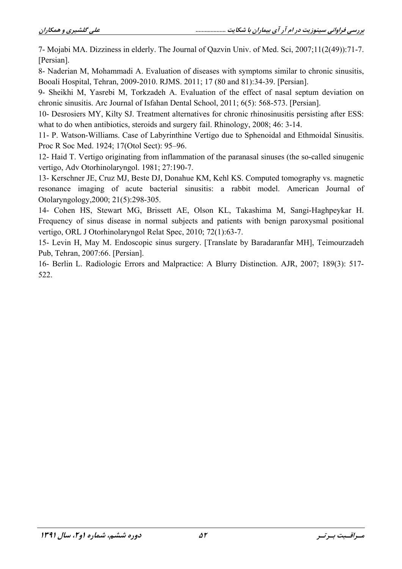7- Mojabi MA, Dizziness in elderly. The Journal of Oazvin Univ. of Med. Sci, 2007;11(2(49)):71-7. [Persian].

8- Naderian M, Mohammadi A. Evaluation of diseases with symptoms similar to chronic sinusitis, Booali Hospital, Tehran, 2009-2010. RJMS. 2011; 17 (80 and 81):34-39. [Persian].

9- Sheikhi M, Yasrebi M, Torkzadeh A. Evaluation of the effect of nasal septum deviation on chronic sinusitis. Arc Journal of Isfahan Dental School, 2011; 6(5): 568-573. [Persian].

10- Desrosiers MY, Kilty SJ. Treatment alternatives for chronic rhinosinusitis persisting after ESS: what to do when antibiotics, steroids and surgery fail. Rhinology, 2008; 46: 3-14.

11- P. Watson-Williams. Case of Labyrinthine Vertigo due to Sphenoidal and Ethmoidal Sinusitis. Proc R Soc Med. 1924: 17(Otol Sect): 95–96.

12- Haid T. Vertigo originating from inflammation of the paranasal sinuses (the so-called sinugenic vertigo, Adv Otorhinolaryngol. 1981; 27:190-7.

13- Kerschner JE, Cruz MJ, Beste DJ, Donahue KM, Kehl KS. Computed tomography vs. magnetic resonance imaging of acute bacterial sinusitis: a rabbit model. American Journal of Otolaryngology, 2000; 21(5): 298-305.

14- Cohen HS, Stewart MG, Brissett AE, Olson KL, Takashima M, Sangi-Haghpeykar H. Frequency of sinus disease in normal subjects and patients with benign paroxysmal positional vertigo, ORL J Otorhinolaryngol Relat Spec, 2010; 72(1):63-7.

15- Levin H, May M. Endoscopic sinus surgery. [Translate by Baradaranfar MH], Teimourzadeh Pub. Tehran, 2007:66. [Persian].

16- Berlin L. Radiologic Errors and Malpractice: A Blurry Distinction. AJR, 2007; 189(3): 517-522.